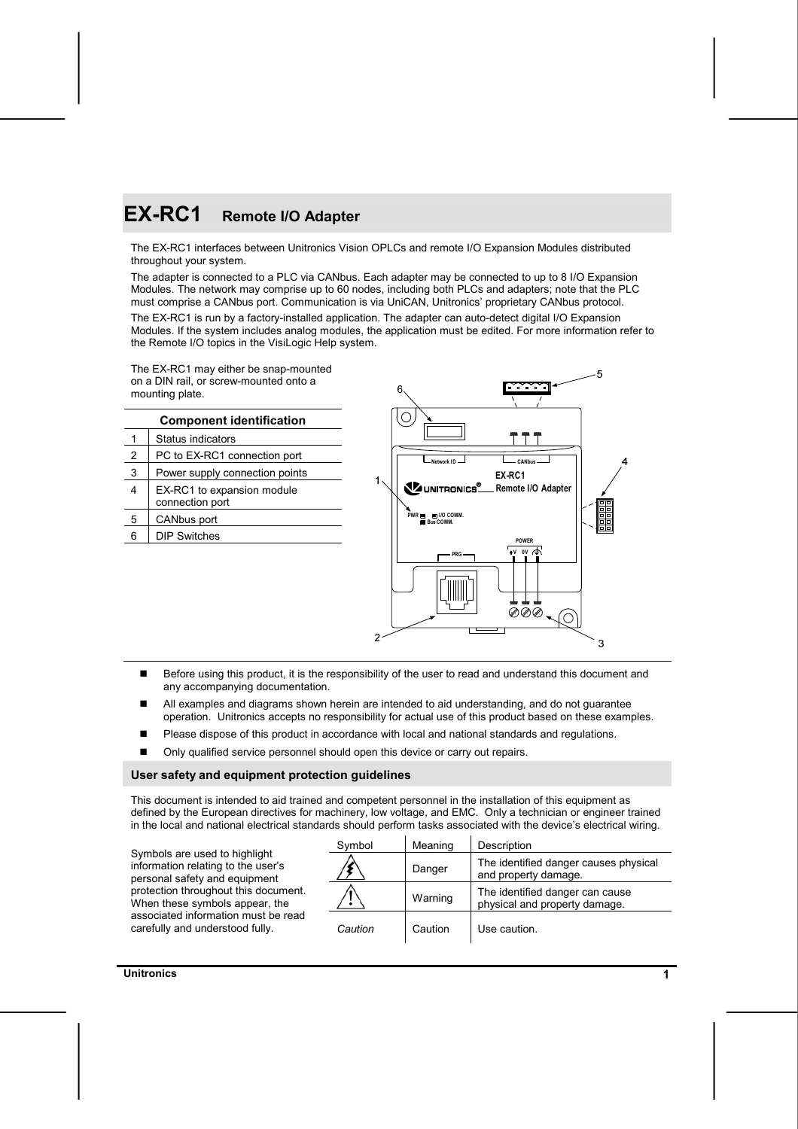# **EX-RC1 Remote I/O Adapter**

The EX-RC1 interfaces between Unitronics Vision OPLCs and remote I/O Expansion Modules distributed throughout your system.

The adapter is connected to a PLC via CANbus. Each adapter may be connected to up to 8 I/O Expansion Modules. The network may comprise up to 60 nodes, including both PLCs and adapters; note that the PLC must comprise a CANbus port. Communication is via UniCAN, Unitronics' proprietary CANbus protocol.

The EX-RC1 is run by a factory-installed application. The adapter can auto-detect digital I/O Expansion Modules. If the system includes analog modules, the application must be edited. For more information refer to the Remote I/O topics in the VisiLogic Help system.

The EX-RC1 may either be snap-mounted on a DIN rail, or screw-mounted onto a mounting plate.

|   | <b>Component identification</b>               |                                                |              |
|---|-----------------------------------------------|------------------------------------------------|--------------|
|   | Status indicators                             |                                                |              |
| 2 | PC to EX-RC1 connection port                  | - Network ID                                   | CANbu        |
| 3 | Power supply connection points                |                                                | EX-RC1       |
| 4 | EX-RC1 to expansion module<br>connection port | UNITRONICS <sup>®</sup> Remote I/              |              |
| 5 | CANbus port                                   | $PWR =$<br><b>NO COMM.</b><br><b>Bus COMM.</b> |              |
| 6 | <b>DIP Switches</b>                           |                                                | <b>POWER</b> |
|   |                                               |                                                |              |



- Before using this product, it is the responsibility of the user to read and understand this document and any accompanying documentation.
- All examples and diagrams shown herein are intended to aid understanding, and do not guarantee operation. Unitronics accepts no responsibility for actual use of this product based on these examples.
- Please dispose of this product in accordance with local and national standards and regulations.
- Only qualified service personnel should open this device or carry out repairs.

#### **User safety and equipment protection guidelines**

This document is intended to aid trained and competent personnel in the installation of this equipment as defined by the European directives for machinery, low voltage, and EMC. Only a technician or engineer trained in the local and national electrical standards should perform tasks associated with the device's electrical wiring.

|                                                                                                      | Symbol  | Meaning | Description                                                      |
|------------------------------------------------------------------------------------------------------|---------|---------|------------------------------------------------------------------|
| Symbols are used to highlight<br>information relating to the user's<br>personal safety and equipment |         | Danger  | The identified danger causes physical<br>and property damage.    |
| protection throughout this document.<br>When these symbols appear, the                               |         | Warning | The identified danger can cause<br>physical and property damage. |
| associated information must be read<br>carefully and understood fully.                               | Caution | Caution | Use caution.                                                     |

**Unitronics 1**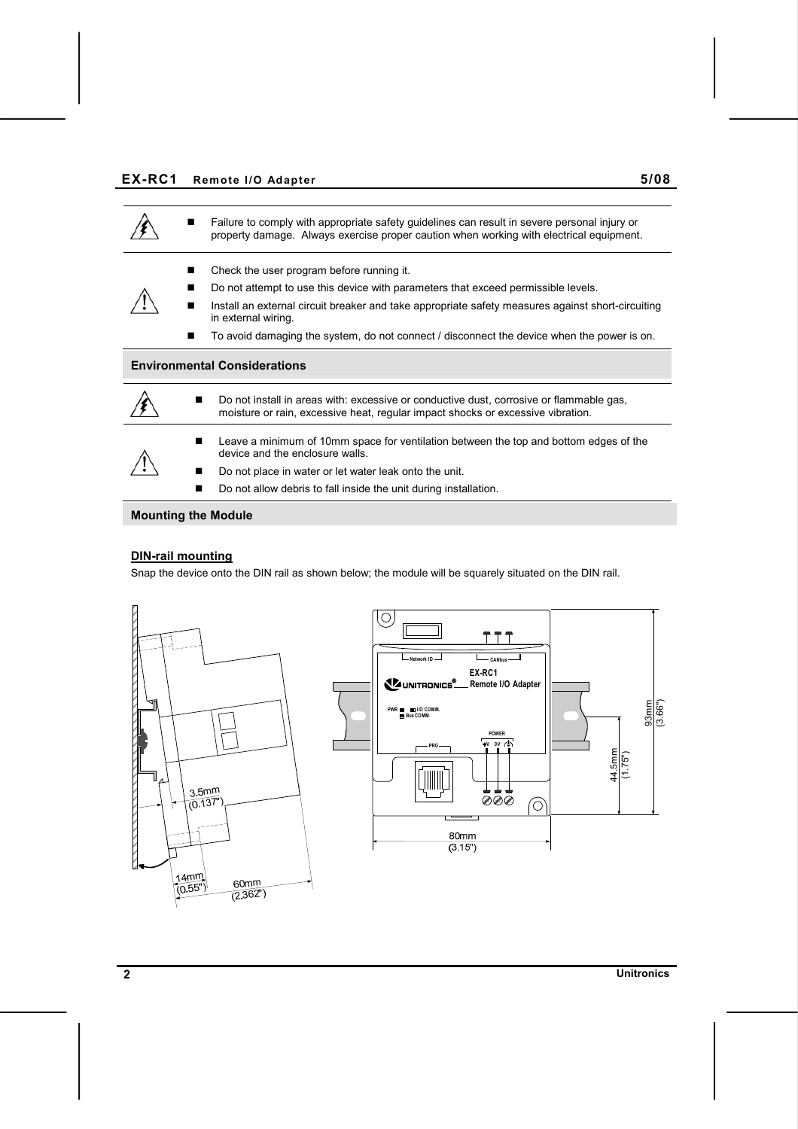## **EX-RC1 Remote I/O Adapter 5/08**



#### **DIN-rail mounting**

Snap the device onto the DIN rail as shown below; the module will be squarely situated on the DIN rail.



**2 Unitronics**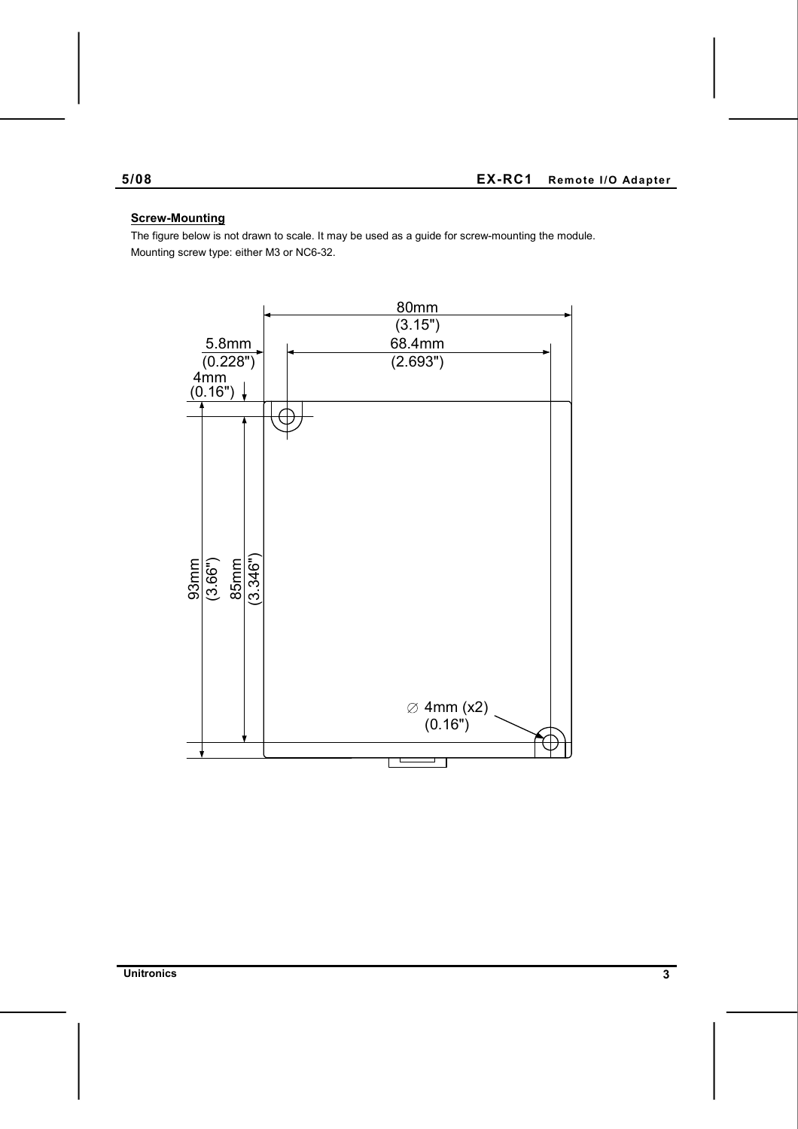# **Screw-Mounting**

The figure below is not drawn to scale. It may be used as a guide for screw-mounting the module. Mounting screw type: either M3 or NC6-32.



**Unitronics 3**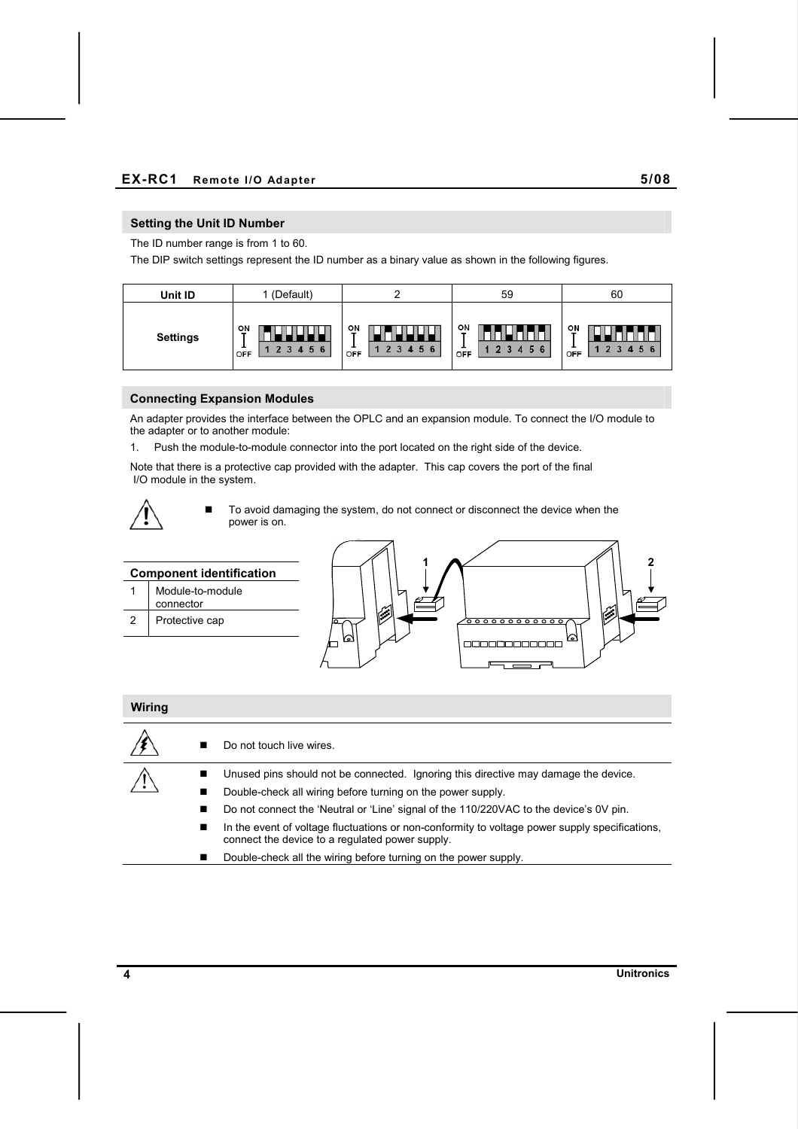## **Setting the Unit ID Number**

The ID number range is from 1 to 60.

The DIP switch settings represent the ID number as a binary value as shown in the following figures.

| Unit ID         | (Default)                      |                     | 59                 | 60                                          |
|-----------------|--------------------------------|---------------------|--------------------|---------------------------------------------|
| <b>Settings</b> | ᅆ<br><b>.</b><br>5<br>6<br>OFF | ON<br>c<br>Ð<br>OFF | 애<br>5<br>6<br>OFF | ON<br>$\mathbf{r}$<br>56<br>$\Omega$<br>OFF |

#### **Connecting Expansion Modules**

An adapter provides the interface between the OPLC and an expansion module. To connect the I/O module to the adapter or to another module:

1. Push the module-to-module connector into the port located on the right side of the device.

Note that there is a protective cap provided with the adapter. This cap covers the port of the final I/O module in the system.



 $\blacksquare$  To avoid damaging the system, do not connect or disconnect the device when the power is on.



#### **Wiring**

|  | Do not touch live wires.                                                                                                                          |
|--|---------------------------------------------------------------------------------------------------------------------------------------------------|
|  | Unused pins should not be connected. Ignoring this directive may damage the device.                                                               |
|  | Double-check all wiring before turning on the power supply.                                                                                       |
|  | Do not connect the 'Neutral or 'Line' signal of the 110/220VAC to the device's 0V pin.                                                            |
|  | In the event of voltage fluctuations or non-conformity to voltage power supply specifications,<br>connect the device to a regulated power supply. |
|  | Double-check all the wiring before turning on the power supply.                                                                                   |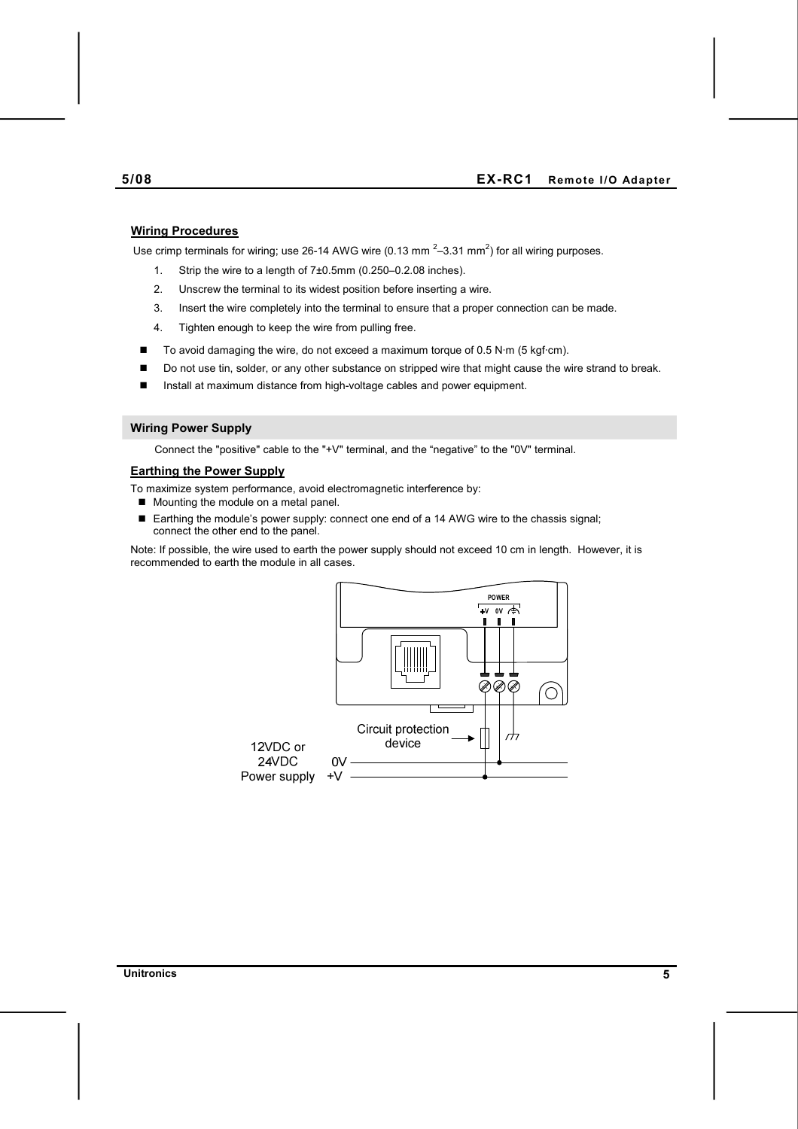#### **Wiring Procedures**

Use crimp terminals for wiring; use 26-14 AWG wire (0.13 mm  $^{2}$ –3.31 mm<sup>2</sup>) for all wiring purposes.

- 1. Strip the wire to a length of 7±0.5mm (0.250–0.2.08 inches).
- 2. Unscrew the terminal to its widest position before inserting a wire.
- 3. Insert the wire completely into the terminal to ensure that a proper connection can be made.
- 4. Tighten enough to keep the wire from pulling free.
- $\blacksquare$  To avoid damaging the wire, do not exceed a maximum torque of 0.5 N·m (5 kgf·cm).
- Do not use tin, solder, or any other substance on stripped wire that might cause the wire strand to break.
- Install at maximum distance from high-voltage cables and power equipment.

#### **Wiring Power Supply**

Connect the "positive" cable to the "+V" terminal, and the "negative" to the "0V" terminal.

## **Earthing the Power Supply**

- To maximize system performance, avoid electromagnetic interference by:
- Mounting the module on a metal panel.
- Earthing the module's power supply: connect one end of a 14 AWG wire to the chassis signal; connect the other end to the panel.

Note: If possible, the wire used to earth the power supply should not exceed 10 cm in length. However, it is recommended to earth the module in all cases.

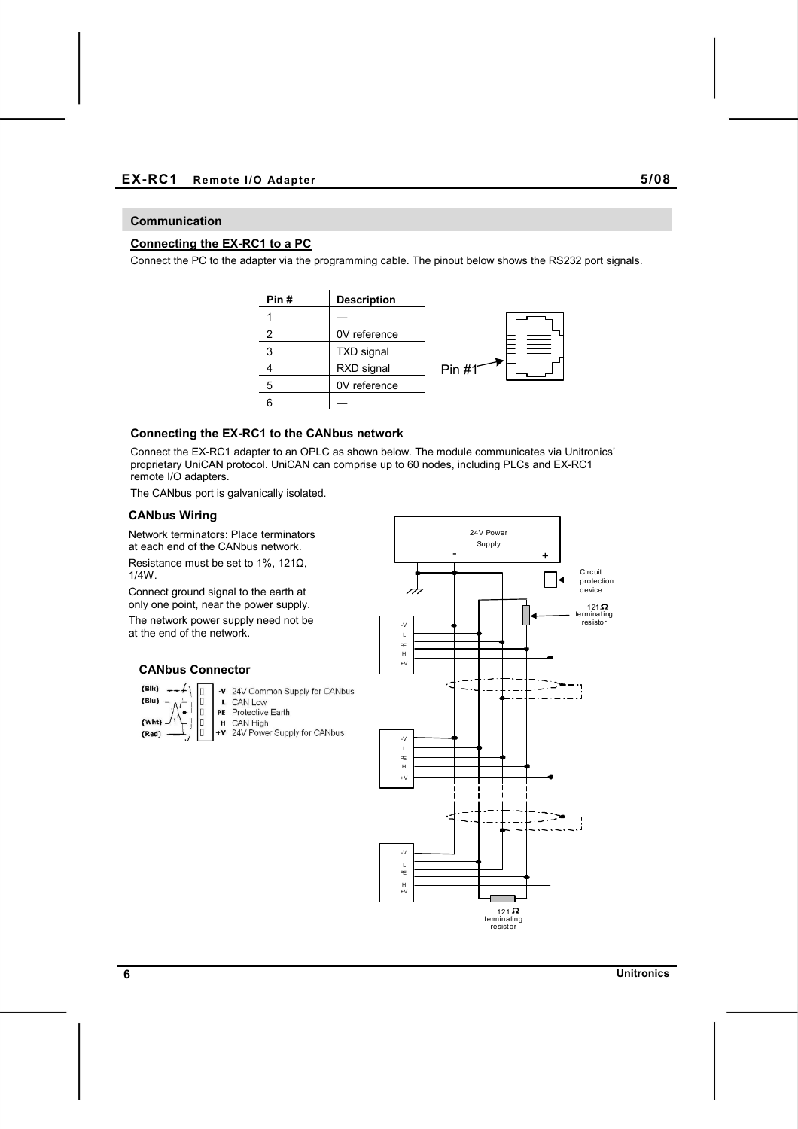## **EX-RC1 Remote I/O Adapter 5/08**

## **Communication**

# **Connecting the EX-RC1 to a PC**

Connect the PC to the adapter via the programming cable. The pinout below shows the RS232 port signals.



# **Connecting the EX-RC1 to the CANbus network**

Connect the EX-RC1 adapter to an OPLC as shown below. The module communicates via Unitronics' proprietary UniCAN protocol. UniCAN can comprise up to 60 nodes, including PLCs and EX-RC1 remote I/O adapters.

The CANbus port is galvanically isolated.

## **CANbus Wiring**

Network terminators: Place terminators at each end of the CANbus network.

Resistance must be set to 1%, 121 $\Omega$ , 1/4W.

Connect ground signal to the earth at only one point, near the power supply. The network power supply need not be at the end of the network.

#### **CANbus Connector**



-v 24V Common Supply for CANbus L CAN Low PE Protective Earth H CAN High<br> **+V** 24V Power Supply for CANbus

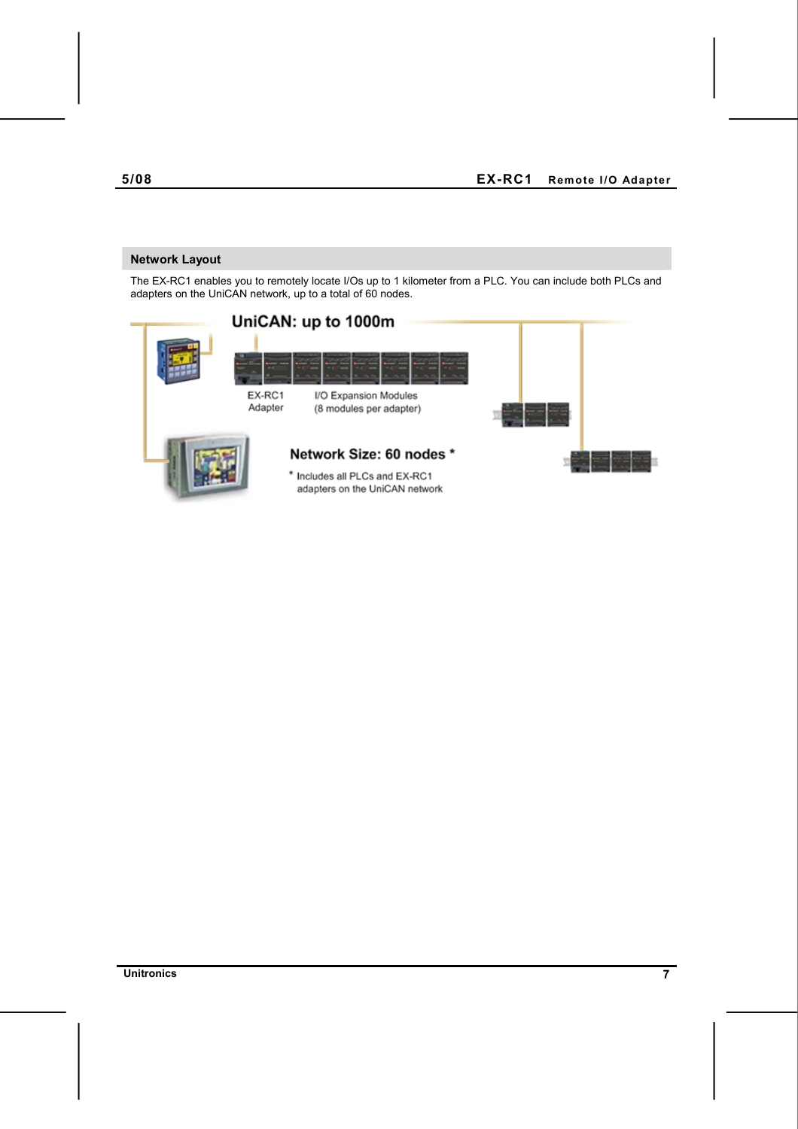# **Network Layout**

The EX-RC1 enables you to remotely locate I/Os up to 1 kilometer from a PLC. You can include both PLCs and adapters on the UniCAN network, up to a total of 60 nodes.